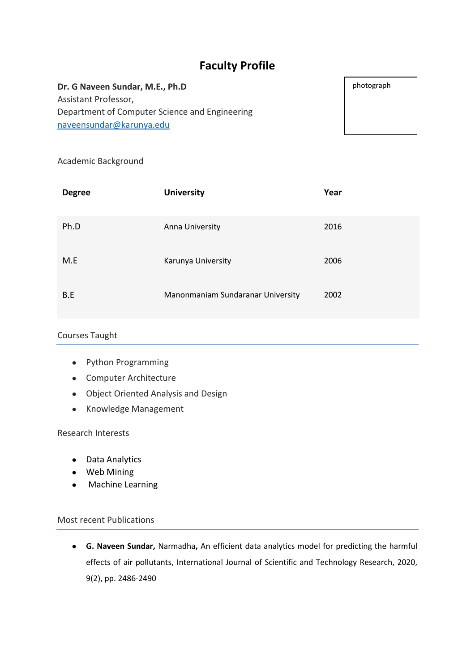# **Faculty Profile**

**Dr. G Naveen Sundar, M.E., Ph.D** Assistant Professor, Department of Computer Science and Engineering [naveensundar@karunya.edu](mailto:naveensundar@karunya.edu)

Academic Background

| <b>Degree</b> | <b>University</b>                 | Year |
|---------------|-----------------------------------|------|
| Ph.D          | Anna University                   | 2016 |
| M.E           | Karunya University                | 2006 |
| B.E           | Manonmaniam Sundaranar University | 2002 |

### Courses Taught

- Python Programming
- Computer Architecture
- Object Oriented Analysis and Design
- Knowledge Management

#### Research Interests

- Data Analytics
- Web Mining
- Machine Learning

## Most recent Publications

● **G. Naveen Sundar,** Narmadha**,** An efficient data analytics model for predicting the harmful effects of air pollutants, International Journal of Scientific and Technology Research, 2020, 9(2), pp. 2486-2490

photograph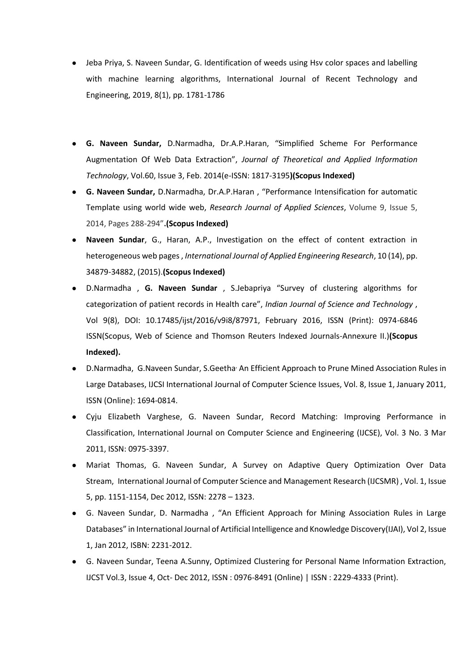- Jeba Priya, S. Naveen Sundar, G. Identification of weeds using Hsv color spaces and labelling with machine learning algorithms, International Journal of Recent Technology and Engineering, 2019, 8(1), pp. 1781-1786
- **G. Naveen Sundar,** D.Narmadha, Dr.A.P.Haran, "Simplified Scheme For Performance Augmentation Of Web Data Extraction", *Journal of Theoretical and Applied Information Technology*, Vol.60, Issue 3, Feb. 2014(e-ISSN: 1817-3195**)(Scopus Indexed)**
- **G. Naveen Sundar,** D.Narmadha, Dr.A.P.Haran , "Performance Intensification for automatic Template using world wide web, *Research Journal of Applied Sciences*, Volume 9, Issue 5, 2014, Pages 288-294"**.(Scopus Indexed)**
- Naveen Sundar, G., Haran, A.P., Investigation on the effect of content extraction in heterogeneous web pages , *International Journal of Applied Engineering Research*, 10 (14), pp. 34879-34882, (2015).**(Scopus Indexed)**
- D.Narmadha , **G. Naveen Sundar** , S.Jebapriya "Survey of clustering algorithms for categorization of patient records in Health care", *Indian Journal of Science and Technology* , Vol 9(8), DOI: 10.17485/ijst/2016/v9i8/87971, February 2016, ISSN (Print): 0974-6846 ISSN(Scopus, Web of Science and Thomson Reuters Indexed Journals-Annexure II.)**(Scopus Indexed).**
- D.Narmadha, G.Naveen Sundar, S.Geetha<sup>,</sup> An Efficient Approach to Prune Mined Association Rules in Large Databases, IJCSI International Journal of Computer Science Issues, Vol. 8, Issue 1, January 2011, ISSN (Online): 1694-0814.
- Cyju Elizabeth Varghese, G. Naveen Sundar, Record Matching: Improving Performance in Classification, International Journal on Computer Science and Engineering (IJCSE), Vol. 3 No. 3 Mar 2011, ISSN: 0975-3397.
- Mariat Thomas, G. Naveen Sundar, A Survey on Adaptive Query Optimization Over Data Stream, International Journal of Computer Science and Management Research (IJCSMR) , Vol. 1, Issue 5, pp. 1151-1154, Dec 2012, ISSN: 2278 – 1323.
- G. Naveen Sundar, D. Narmadha , "An Efficient Approach for Mining Association Rules in Large Databases" in International Journal of Artificial Intelligence and Knowledge Discovery(IJAI), Vol 2, Issue 1, Jan 2012, ISBN: 2231-2012.
- G. Naveen Sundar, Teena A.Sunny, Optimized Clustering for Personal Name Information Extraction, IJCST Vol.3, Issue 4, Oct- Dec 2012, ISSN : 0976-8491 (Online) | ISSN : 2229-4333 (Print).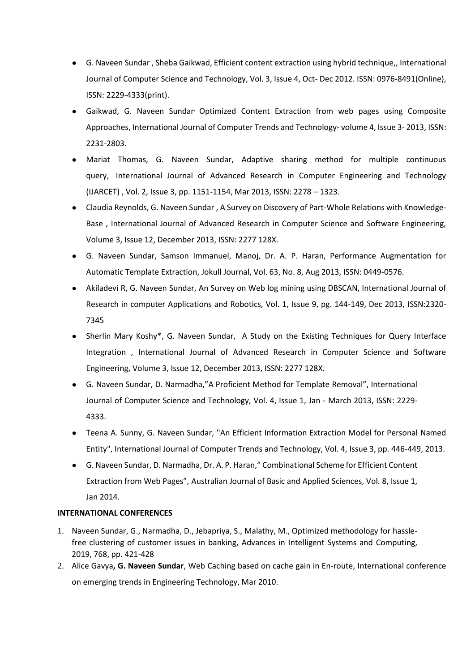- G. Naveen Sundar , Sheba Gaikwad, Efficient content extraction using hybrid technique,, International Journal of Computer Science and Technology, Vol. 3, Issue 4, Oct- Dec 2012. ISSN: 0976-8491(Online), ISSN: 2229-4333(print).
- Gaikwad, G. Naveen Sundar, Optimized Content Extraction from web pages using Composite Approaches, International Journal of Computer Trends and Technology- volume 4, Issue 3- 2013, ISSN: 2231-2803.
- Mariat Thomas, G. Naveen Sundar, Adaptive sharing method for multiple continuous query, International Journal of Advanced Research in Computer Engineering and Technology (IJARCET) , Vol. 2, Issue 3, pp. 1151-1154, Mar 2013, ISSN: 2278 – 1323.
- Claudia Reynolds, G. Naveen Sundar , A Survey on Discovery of Part-Whole Relations with Knowledge-Base , International Journal of Advanced Research in Computer Science and Software Engineering, Volume 3, Issue 12, December 2013, ISSN: 2277 128X.
- G. Naveen Sundar, Samson Immanuel, Manoj, Dr. A. P. Haran, Performance Augmentation for Automatic Template Extraction, Jokull Journal, Vol. 63, No. 8, Aug 2013, ISSN: 0449-0576.
- Akiladevi R, G. Naveen Sundar, An Survey on Web log mining using DBSCAN, International Journal of Research in computer Applications and Robotics, Vol. 1, Issue 9, pg. 144-149, Dec 2013, ISSN:2320- 7345
- Sherlin Mary Koshy\*, G. Naveen Sundar, A Study on the Existing Techniques for Query Interface Integration , International Journal of Advanced Research in Computer Science and Software Engineering, Volume 3, Issue 12, December 2013, ISSN: 2277 128X.
- G. Naveen Sundar, D. Narmadha,"A Proficient Method for Template Removal", International Journal of Computer Science and Technology, Vol. 4, Issue 1, Jan - March 2013, ISSN: 2229- 4333.
- Teena A. Sunny, G. Naveen Sundar, "An Efficient Information Extraction Model for Personal Named Entity", International Journal of Computer Trends and Technology, Vol. 4, Issue 3, pp. 446-449, 2013.
- G. Naveen Sundar, D. Narmadha, Dr. A. P. Haran," Combinational Scheme for Efficient Content Extraction from Web Pages", Australian Journal of Basic and Applied Sciences, Vol. 8, Issue 1, Jan 2014.

### **INTERNATIONAL CONFERENCES**

- 1. Naveen Sundar, G., Narmadha, D., Jebapriya, S., Malathy, M., Optimized methodology for hasslefree clustering of customer issues in banking, Advances in Intelligent Systems and Computing, 2019, 768, pp. 421-428
- 2. Alice Gavya**, G. Naveen Sundar**, Web Caching based on cache gain in En-route, International conference on emerging trends in Engineering Technology, Mar 2010.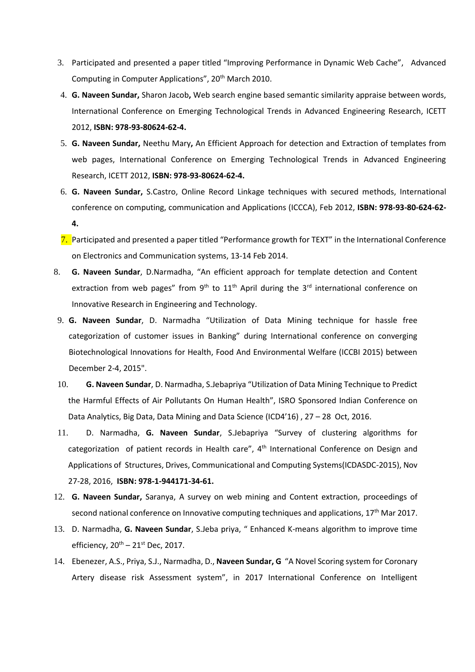- 3. Participated and presented a paper titled "Improving Performance in Dynamic Web Cache", Advanced Computing in Computer Applications", 20<sup>th</sup> March 2010.
- 4. **G. Naveen Sundar,** Sharon Jacob**,** Web search engine based semantic similarity appraise between words, International Conference on Emerging Technological Trends in Advanced Engineering Research, ICETT 2012, **ISBN: 978-93-80624-62-4.**
- 5. **G. Naveen Sundar,** Neethu Mary**,** An Efficient Approach for detection and Extraction of templates from web pages, International Conference on Emerging Technological Trends in Advanced Engineering Research, ICETT 2012, **ISBN: 978-93-80624-62-4.**
- 6. **G. Naveen Sundar,** S.Castro, Online Record Linkage techniques with secured methods, International conference on computing, communication and Applications (ICCCA), Feb 2012, **ISBN: 978-93-80-624-62- 4.**
- 7. Participated and presented a paper titled "Performance growth for TEXT" in the International Conference on Electronics and Communication systems, 13-14 Feb 2014.
- 8. **G. Naveen Sundar**, D.Narmadha, "An efficient approach for template detection and Content extraction from web pages" from  $9<sup>th</sup>$  to  $11<sup>th</sup>$  April during the  $3<sup>rd</sup>$  international conference on Innovative Research in Engineering and Technology.
- 9. **G. Naveen Sundar**, D. Narmadha "Utilization of Data Mining technique for hassle free categorization of customer issues in Banking" during International conference on converging Biotechnological Innovations for Health, Food And Environmental Welfare (ICCBI 2015) between December 2-4, 2015".
- 10. **G. Naveen Sundar**, D. Narmadha, S.Jebapriya "Utilization of Data Mining Technique to Predict the Harmful Effects of Air Pollutants On Human Health", ISRO Sponsored Indian Conference on Data Analytics, Big Data, Data Mining and Data Science (ICD4'16) , 27 – 28 Oct, 2016.
- 11. D. Narmadha, **G. Naveen Sundar**, S.Jebapriya "Survey of clustering algorithms for categorization of patient records in Health care",  $4<sup>th</sup>$  International Conference on Design and Applications of Structures, Drives, Communicational and Computing Systems(ICDASDC-2015), Nov 27-28, 2016, **ISBN: 978-1-944171-34-61.**
- 12. **G. Naveen Sundar,** Saranya, A survey on web mining and Content extraction, proceedings of second national conference on Innovative computing techniques and applications,  $17<sup>th</sup>$  Mar 2017.
- 13. D. Narmadha, **G. Naveen Sundar**, S.Jeba priya, " Enhanced K-means algorithm to improve time efficiency,  $20^{th}$  –  $21^{st}$  Dec, 2017.
- 14. Ebenezer, A.S., Priya, S.J., Narmadha, D., **Naveen Sundar, G** "A Novel Scoring system for Coronary Artery disease risk Assessment system", in 2017 International Conference on Intelligent